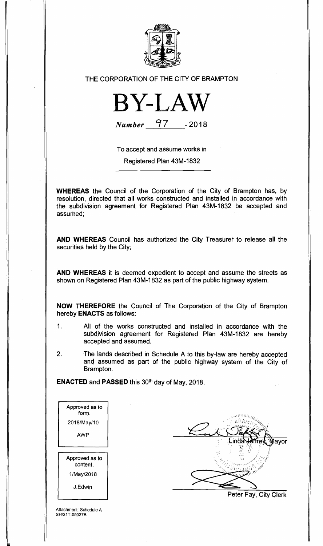

## THE CORPORATION OF THE CITY OF BRAMPTON



**Number 97 -2018** 

To accept and assume works in

Registered Plan 43M-1832

**WHEREAS** the Council of the Corporation of the City of Brampton has, by resolution, directed that all works constructed and installed in accordance with the subdivision agreement for Registered Plan 43M-1832 be accepted and assumed;

**AND WHEREAS** Council has authorized the City Treasurer to release all the securities held by the City;

**AND WHEREAS** it is deemed expedient to accept and assume the streets as shown on Registered Plan 43M-1832 as part of the public highway system.

**NOW THEREFORE** the Council of The Corporation of the City of Brampton hereby **ENACTS** as follows:

- 1. All of the works constructed and installed in accordance with the subdivision agreement for Registered Plan 43M-1832 are hereby accepted and assumed.
- 2. The lands described in Schedule A to this by-law are hereby accepted and assumed as part of the public highway system of the City of Brampton.

**ENACTED** and **PASSED** this 30th day of May, 2018.

| Approved as to<br>form.    |  |
|----------------------------|--|
| 2018/May/10                |  |
| AWP                        |  |
|                            |  |
|                            |  |
| Approved as to<br>content. |  |
| 1/May/2018                 |  |

ma<sub>lla</sub> Mayor l inda

Peter Fay, City Clerk

Attachment: Schedule A SH/21T-05027B